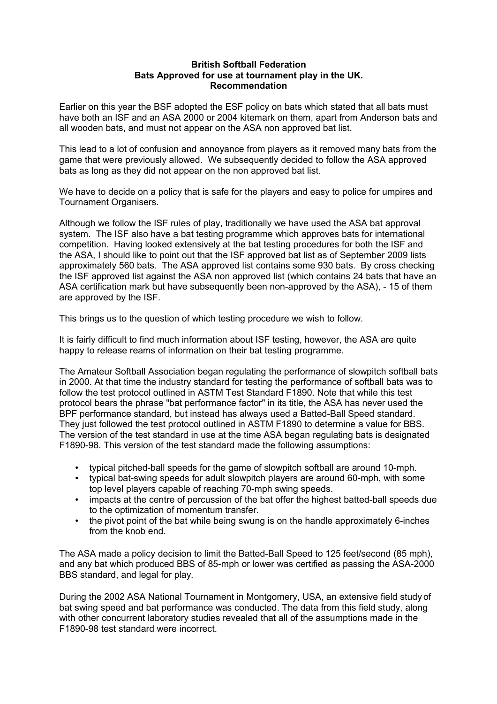## **British Softball Federation Bats Approved for use at tournament play in the UK. Recommendation**

Earlier on this year the BSF adopted the ESF policy on bats which stated that all bats must have both an ISF and an ASA 2000 or 2004 kitemark on them, apart from Anderson bats and all wooden bats, and must not appear on the ASA non approved bat list.

This lead to a lot of confusion and annoyance from players as it removed many bats from the game that were previously allowed. We subsequently decided to follow the ASA approved bats as long as they did not appear on the non approved bat list.

We have to decide on a policy that is safe for the players and easy to police for umpires and Tournament Organisers.

Although we follow the ISF rules of play, traditionally we have used the ASA bat approval system. The ISF also have a bat testing programme which approves bats for international competition. Having looked extensively at the bat testing procedures for both the ISF and the ASA, I should like to point out that the ISF approved bat list as of September 2009 lists approximately 560 bats. The ASA approved list contains some 930 bats. By cross checking the ISF approved list against the ASA non approved list (which contains 24 bats that have an ASA certification mark but have subsequently been non-approved by the ASA), - 15 of them are approved by the ISF.

This brings us to the question of which testing procedure we wish to follow.

It is fairly difficult to find much information about ISF testing, however, the ASA are quite happy to release reams of information on their bat testing programme.

The Amateur Softball Association began regulating the performance of slowpitch softball bats in 2000. At that time the industry standard for testing the performance of softball bats was to follow the test protocol outlined in ASTM Test Standard F1890. Note that while this test protocol bears the phrase "bat performance factor" in its title, the ASA has never used the BPF performance standard, but instead has always used a Batted-Ball Speed standard. They just followed the test protocol outlined in ASTM F1890 to determine a value for BBS. The version of the test standard in use at the time ASA began regulating bats is designated F1890-98. This version of the test standard made the following assumptions:

- typical pitched-ball speeds for the game of slowpitch softball are around 10-mph.
- typical bat-swing speeds for adult slowpitch players are around 60-mph, with some top level players capable of reaching 70-mph swing speeds.
- impacts at the centre of percussion of the bat offer the highest batted-ball speeds due to the optimization of momentum transfer.
- the pivot point of the bat while being swung is on the handle approximately 6-inches from the knob end.

The ASA made a policy decision to limit the Batted-Ball Speed to 125 feet/second (85 mph), and any bat which produced BBS of 85-mph or lower was certified as passing the ASA-2000 BBS standard, and legal for play.

During the 2002 ASA National Tournament in Montgomery, USA, an extensive field study of bat swing speed and bat performance was conducted. The data from this field study, along with other concurrent laboratory studies revealed that all of the assumptions made in the F1890-98 test standard were incorrect.